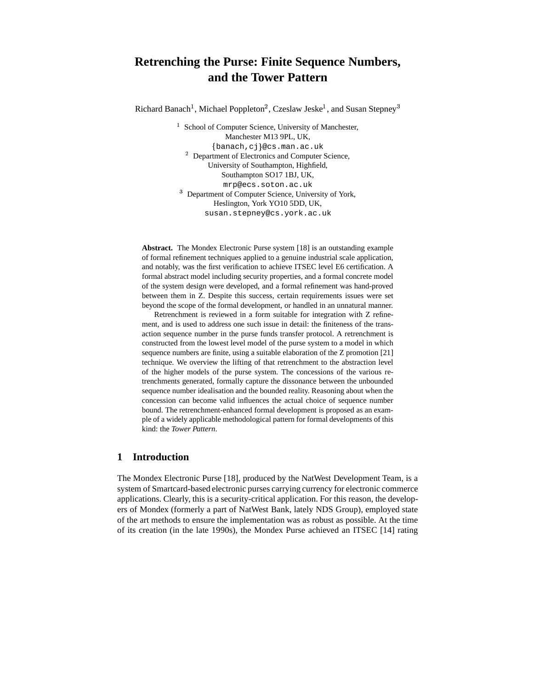# **Retrenching the Purse: Finite Sequence Numbers, and the Tower Pattern**

Richard Banach<sup>1</sup>, Michael Poppleton<sup>2</sup>, Czeslaw Jeske<sup>1</sup>, and Susan Stepney

<sup>1</sup> School of Computer Science, University of Manchester, Manchester M13 9PL, UK, banach,cj @cs.man.ac.uk <sup>2</sup> Department of Electronics and Computer Science, University of Southampton, Highfield, Southampton SO17 1BJ, UK, mrp@ecs.soton.ac.uk <sup>3</sup> Department of Computer Science, University of York, Heslington, York YO10 5DD, UK, susan.stepney@cs.york.ac.uk

**Abstract.** The Mondex Electronic Purse system [18] is an outstanding example of formal refinement techniques applied to a genuine industrial scale application, and notably, was the first verification to achieve ITSEC level E6 certification. A formal abstract model including security properties, and a formal concrete model of the system design were developed, and a formal refinement was hand-proved between them in Z. Despite this success, certain requirements issues were set beyond the scope of the formal development, or handled in an unnatural manner.

Retrenchment is reviewed in a form suitable for integration with Z refinement, and is used to address one such issue in detail: the finiteness of the transaction sequence number in the purse funds transfer protocol. A retrenchment is constructed from the lowest level model of the purse system to a model in which sequence numbers are finite, using a suitable elaboration of the Z promotion [21] technique. We overview the lifting of that retrenchment to the abstraction level of the higher models of the purse system. The concessions of the various retrenchments generated, formally capture the dissonance between the unbounded sequence number idealisation and the bounded reality. Reasoning about when the concession can become valid influences the actual choice of sequence number bound. The retrenchment-enhanced formal development is proposed as an example of a widely applicable methodological pattern for formal developments of this kind: the *Tower Pattern*.

# **1 Introduction**

The Mondex Electronic Purse [18], produced by the NatWest Development Team, is a system of Smartcard-based electronic purses carrying currency for electronic commerce applications. Clearly, this is a security-critical application. For this reason, the developers of Mondex (formerly a part of NatWest Bank, lately NDS Group), employed state of the art methods to ensure the implementation was as robust as possible. At the time of its creation (in the late 1990s), the Mondex Purse achieved an ITSEC [14] rating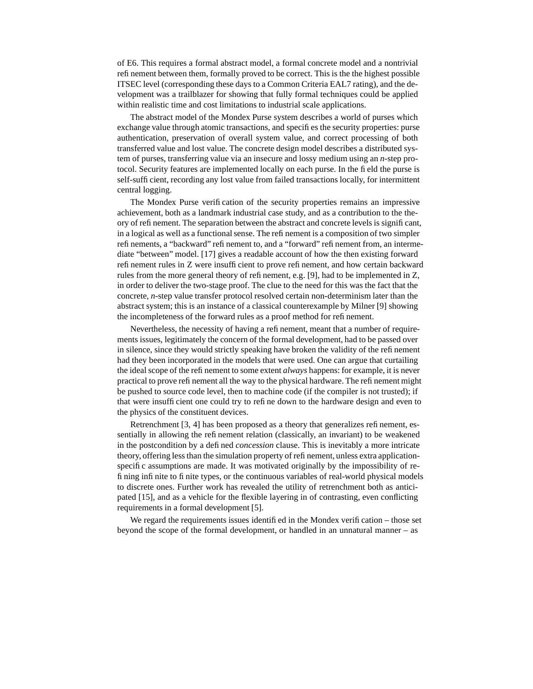of E6. This requires a formal abstract model, a formal concrete model and a nontrivial refinement between them, formally proved to be correct. This is the the highest possible ITSEC level (corresponding these days to a Common Criteria EAL7 rating), and the development was a trailblazer for showing that fully formal techniques could be applied within realistic time and cost limitations to industrial scale applications.

The abstract model of the Mondex Purse system describes a world of purses which exchange value through atomic transactions, and specifies the security properties: purse authentication, preservation of overall system value, and correct processing of both transferred value and lost value. The concrete design model describes a distributed system of purses, transferring value via an insecure and lossy medium using an *n*-step protocol. Security features are implemented locally on each purse. In the field the purse is self-sufficient, recording any lost value from failed transactions locally, for intermittent central logging.

The Mondex Purse verification of the security properties remains an impressive achievement, both as a landmark industrial case study, and as a contribution to the theory of refinement. The separation between the abstract and concrete levels is significant, in a logical as well as a functionalsense. The refinement is a composition of two simpler refinements, a "backward" refinement to, and a "forward" refinement from, an intermediate "between" model. [17] gives a readable account of how the then existing forward refinement rules in Z were insufficient to prove refinement, and how certain backward rules from the more general theory of refinement, e.g. [9], had to be implemented in Z, in order to deliver the two-stage proof. The clue to the need for this was the fact that the concrete, *n*-step value transfer protocol resolved certain non-determinism later than the abstract system; this is an instance of a classical counterexample by Milner [9] showing the incompleteness of the forward rules as a proof method for refinement.

Nevertheless, the necessity of having a refinement, meant that a number of requirements issues, legitimately the concern of the formal development, had to be passed over in silence, since they would strictly speaking have broken the validity of the refinement had they been incorporated in the models that were used. One can argue that curtailing the ideal scope of the refinement to some extent *always* happens: for example, it is never practical to prove refinement all the way to the physical hardware. The refinement might be pushed to source code level, then to machine code (if the compiler is not trusted); if that were insufficient one could try to refine down to the hardware design and even to the physics of the constituent devices.

Retrenchment [3, 4] has been proposed as a theory that generalizes refinement, essentially in allowing the refinement relation (classically, an invariant) to be weakened in the postcondition by a defined *concession* clause. This is inevitably a more intricate theory, offering less than the simulation property of refinement, unless extra applicationspecific assumptions are made. It was motivated originally by the impossibility of refining infinite to finite types, or the continuous variables of real-world physical models to discrete ones. Further work has revealed the utility of retrenchment both as anticipated [15], and as a vehicle for the flexible layering in of contrasting, even conflicting requirements in a formal development [5].

We regard the requirements issues identified in the Mondex verification – those set beyond the scope of the formal development, or handled in an unnatural manner – as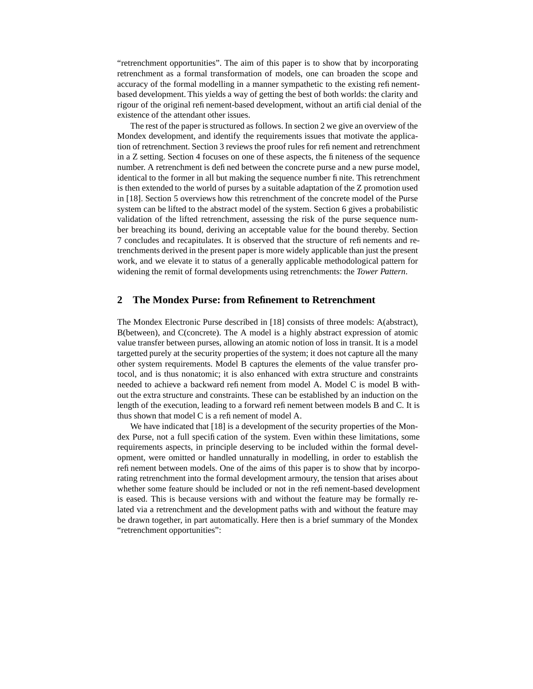"retrenchment opportunities". The aim of this paper is to show that by incorporating retrenchment as a formal transformation of models, one can broaden the scope and accuracy of the formal modelling in a manner sympathetic to the existing refinementbased development. This yields a way of getting the best of both worlds: the clarity and rigour of the original refinement-based development, without an artificial denial of the existence of the attendant other issues.

The rest of the paper is structured as follows. In section 2 we give an overview of the Mondex development, and identify the requirements issues that motivate the application of retrenchment. Section 3 reviews the proof rules for refinement and retrenchment in a Z setting. Section 4 focuses on one of these aspects, the finiteness of the sequence number. A retrenchment is defined between the concrete purse and a new purse model, identical to the former in all but making the sequence number finite. This retrenchment is then extended to the world of purses by a suitable adaptation of the Z promotion used in [18]. Section 5 overviews how this retrenchment of the concrete model of the Purse system can be lifted to the abstract model of the system. Section 6 gives a probabilistic validation of the lifted retrenchment, assessing the risk of the purse sequence number breaching its bound, deriving an acceptable value for the bound thereby. Section 7 concludes and recapitulates. It is observed that the structure of refinements and retrenchments derived in the present paper is more widely applicable than just the present work, and we elevate it to status of a generally applicable methodological pattern for widening the remit of formal developments using retrenchments: the *Tower Pattern*.

### **2 The Mondex Purse: from Refinement to Retrenchment**

The Mondex Electronic Purse described in [18] consists of three models: A(abstract), B(between), and C(concrete). The A model is a highly abstract expression of atomic value transfer between purses, allowing an atomic notion of loss in transit. It is a model targetted purely at the security properties of the system; it does not capture all the many other system requirements. Model B captures the elements of the value transfer protocol, and is thus nonatomic; it is also enhanced with extra structure and constraints needed to achieve a backward refinement from model A. Model C is model B without the extra structure and constraints. These can be established by an induction on the length of the execution, leading to a forward refinement between models B and C. It is thus shown that model C is a refinement of model A.

We have indicated that [18] is a development of the security properties of the Mondex Purse, not a full specification of the system. Even within these limitations, some requirements aspects, in principle deserving to be included within the formal development, were omitted or handled unnaturally in modelling, in order to establish the refinement between models. One of the aims of this paper is to show that by incorporating retrenchment into the formal development armoury, the tension that arises about whether some feature should be included or not in the refinement-based development is eased. This is because versions with and without the feature may be formally related via a retrenchment and the development paths with and without the feature may be drawn together, in part automatically. Here then is a brief summary of the Mondex "retrenchment opportunities":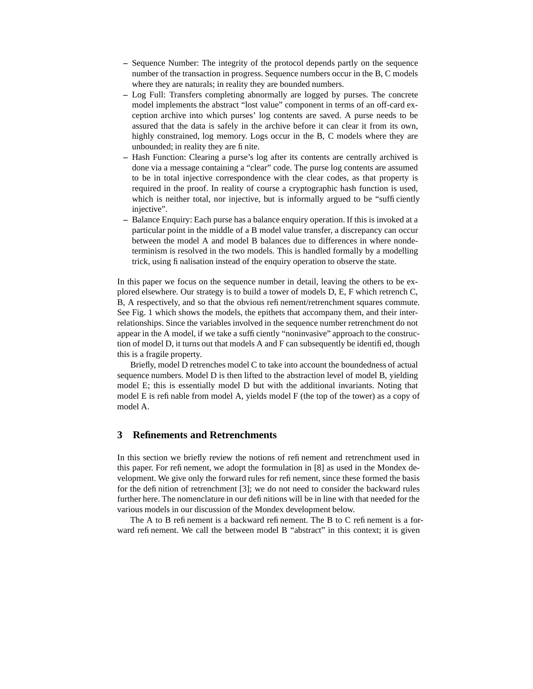- **–** Sequence Number: The integrity of the protocol depends partly on the sequence number of the transaction in progress. Sequence numbers occur in the B, C models where they are naturals; in reality they are bounded numbers.
- **–** Log Full: Transfers completing abnormally are logged by purses. The concrete model implements the abstract "lost value" component in terms of an off-card exception archive into which purses' log contents are saved. A purse needs to be assured that the data is safely in the archive before it can clear it from its own, highly constrained, log memory. Logs occur in the B, C models where they are unbounded; in reality they are finite.
- **–** Hash Function: Clearing a purse's log after its contents are centrally archived is done via a message containing a "clear" code. The purse log contents are assumed to be in total injective correspondence with the clear codes, as that property is required in the proof. In reality of course a cryptographic hash function is used, which is neither total, nor injective, but is informally argued to be "sufficiently" injective".
- **–** Balance Enquiry: Each purse has a balance enquiry operation. If this is invoked at a particular point in the middle of a B model value transfer, a discrepancy can occur between the model A and model B balances due to differences in where nondeterminism is resolved in the two models. This is handled formally by a modelling trick, using finalisation instead of the enquiry operation to observe the state.

In this paper we focus on the sequence number in detail, leaving the others to be explored elsewhere. Our strategy is to build a tower of models D, E, F which retrench C, B, A respectively, and so that the obvious refinement/retrenchment squares commute. See Fig. 1 which shows the models, the epithets that accompany them, and their interrelationships. Since the variables involved in the sequence number retrenchment do not appear in the A model, if we take a sufficiently "noninvasive" approach to the construction of model D, it turns out that models A and F can subsequently be identified, though this is a fragile property.

Briefly, model D retrenches model C to take into account the boundedness of actual sequence numbers. Model D is then lifted to the abstraction level of model B, yielding model E; this is essentially model D but with the additional invariants. Noting that model E is refinable from model A, yields model F (the top of the tower) as a copy of model A.

# **3 Refinements and Retrenchments**

In this section we briefly review the notions of refinement and retrenchment used in this paper. For refinement, we adopt the formulation in [8] as used in the Mondex development. We give only the forward rules for refinement, since these formed the basis for the definition of retrenchment [3]; we do not need to consider the backward rules further here. The nomenclature in our definitions will be in line with that needed for the various models in our discussion of the Mondex development below.

The A to B refinement is a backward refinement. The B to C refinement is a forward refinement. We call the between model B "abstract" in this context; it is given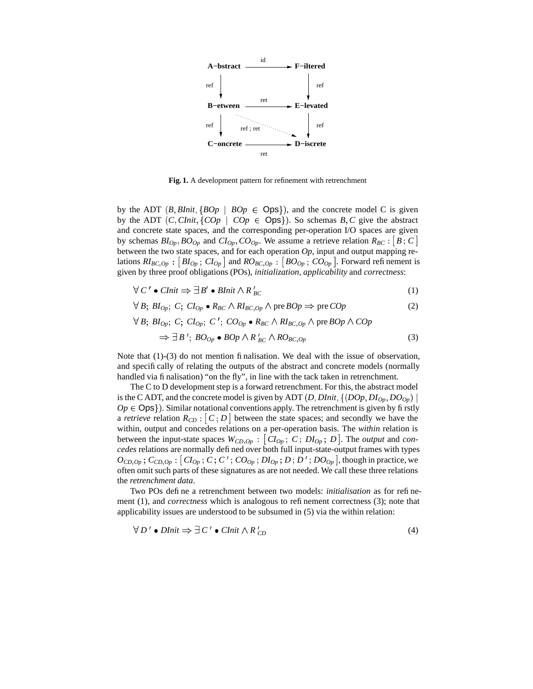

**Fig. 1.** A development pattern for refinement with retrenchment

by the ADT  $(B, BInit, \{BOp \mid BOp \in \text{Ops}\})$ , and the concrete model C is given by the ADT  $(C, Chit, \{COp \mid COP \in Opp\})$ . So schemas *B*, *C* give the abstract and concrete state spaces, and the corresponding per-operation I/O spaces are given by schemas  $B I_{Op}$ ,  $B O_{Op}$  and  $C I_{Op}$ ,  $C O_{Op}$ . We assume a retrieve relation  $R_{BC}$ :  $B; C$ between the two state spaces, and for each operation *Op*, input and output mapping relations  $RI_{BC,Op}: [BI_{Op}; Cl_{Op}]$  and  $RO_{BC,Op}: [BO_{Op}; CO_{Op}]$ . Forward refinement is given by three proof obligations (POs), *initialization, applicability* and *correctness*:

$$
\forall C' \bullet \text{CInit} \Rightarrow \exists B' \bullet \text{BInit} \land R'_{BC} \tag{1}
$$

$$
\forall B; \ Bl_{Op}; \ C; \ Cl_{Op} \bullet R_{BC} \land R_{BC,Op} \land \text{pre } BOp \Rightarrow \text{pre } COP \tag{2}
$$

$$
\forall B; BI_{Op}; C; Cl_{Op}; C'; CO_{Op} \bullet R_{BC} \land RI_{BC,Op} \land \text{pre } BOp \land COp
$$
  
\n
$$
\Rightarrow \exists B'; BO_{Op} \bullet BOp \land R'_{BC} \land RO_{BC,Op}
$$
 (3)

Note that  $(1)-(3)$  do not mention finalisation. We deal with the issue of observation, and specifically of relating the outputs of the abstract and concrete models (normally handled via finalisation) "on the fly", in line with the tack taken in retrenchment.

The C to D development step is a forward retrenchment. For this, the abstract model is the C ADT, and the concrete model is given by ADT  $(D, DInit, \{(DOp, DIo_p, DO_{Op}) \mid$  $Op \in \text{Ops}$ ). Similar notational conventions apply. The retrenchment is given by firstly a *retrieve* relation  $R_{CD}$ :  $\left[ C; D \right]$  between the state spaces; and secondly we have the within, output and concedes relations on a per-operation basis. The *within* relation is between the input-state spaces  $W_{CD,Op}$  :  $\left[ Cl_{Op}$ ;  $C;$   $DI_{Op}$ ;  $D \right]$ . The *output* and *concedes* relations are normally defined over both full input-state-output frames with types  $O_{CD,Op}$  ;  $C_{CD,Op}$  :  $\big[$   $Cl_{Op}$  ;  $C$  ;  $C'$  ;  $CO_{Op}$  ;  $DI_{Op}$  ;  $D$  ;  $D'$  ;  $DO_{Op}$   $\big]$ , though in practice, we often omit such parts of these signatures as are not needed. We call these three relations the *retrenchment data*.

Two POs define a retrenchment between two models: *initialisation* as for refinement (1), and *correctness* which is analogous to refinement correctness (3); note that applicability issues are understood to be subsumed in (5) via the within relation:

$$
\forall D' \bullet DInit \Rightarrow \exists C' \bullet CInit \land R'_{CD} \tag{4}
$$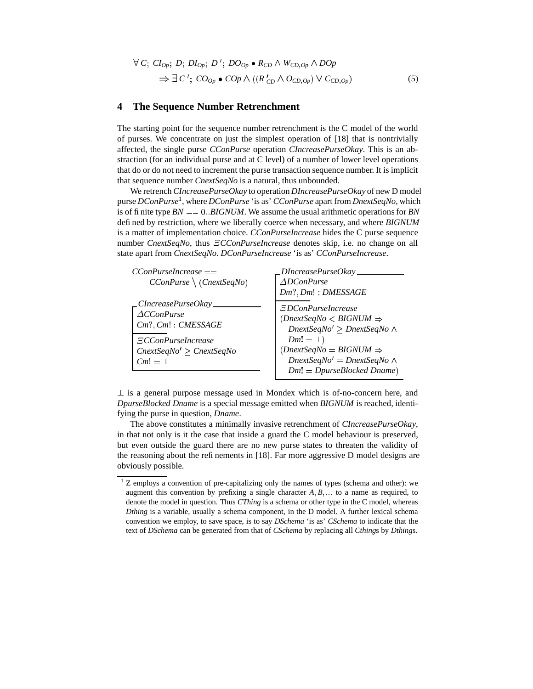$$
\forall C; Cl_{Op}; D; D l_{Op}; D'; DO_{Op} \bullet R_{CD} \land W_{CD,Op} \land DOp
$$
  
\n
$$
\Rightarrow \exists C'; CO_{Op} \bullet COp \land ((R'_{CD} \land O_{CD,Op}) \lor C_{CD,Op})
$$
\n(5)

### **4 The Sequence Number Retrenchment**

The starting point for the sequence number retrenchment is the C model of the world of purses. We concentrate on just the simplest operation of [18] that is nontrivially affected, the single purse *CConPurse* operation *CIncreasePurseOkay*. This is an abstraction (for an individual purse and at C level) of a number of lower level operations that do or do not need to increment the purse transaction sequence number. It is implicit that sequence number *CnextSeqNo* is a natural, thus unbounded.

We retrench *CIncreasePurseOkay* to operation *DIncreasePurseOkay* of new D model purse *DConPurse*<sup>1</sup> , where *DConPurse* 'is as' *CConPurse* apart from *DnextSeqNo*, which is of finite type  $BN == 0$ ..*BIGNUM*. We assume the usual arithmetic operations for *BN* defined by restriction, where we liberally coerce when necessary, and where *BIGNUM* is a matter of implementation choice. *CConPurseIncrease* hides the C purse sequence number *CnextSeqNo*, thus *CConPurseIncrease* denotes skip, i.e. no change on all state apart from *CnextSeqNo*. *DConPurseIncrease* 'is as' *CConPurseIncrease*.



 $\perp$  is a general purpose message used in Mondex which is of-no-concern here, and *DpurseBlocked Dname* is a special message emitted when *BIGNUM* is reached, identifying the purse in question, *Dname*.

The above constitutes a minimally invasive retrenchment of *CIncreasePurseOkay*, in that not only is it the case that inside a guard the C model behaviour is preserved, but even outside the guard there are no new purse states to threaten the validity of the reasoning about the refinements in [18]. Far more aggressive D model designs are obviously possible.

 $1$  Z employs a convention of pre-capitalizing only the names of types (schema and other): we augment this convention by prefixing a single character  $A, B, \ldots$  to a name as required, to denote the model in question. Thus *CThing* is a schema or other type in the C model, whereas *Dthing* is a variable, usually a schema component, in the D model. A further lexical schema convention we employ, to save space, is to say *DSchema* 'is as' *CSchema* to indicate that the text of *DSchema* can be generated from that of *CSchema* by replacing all *Cthing*s by *Dthing*s.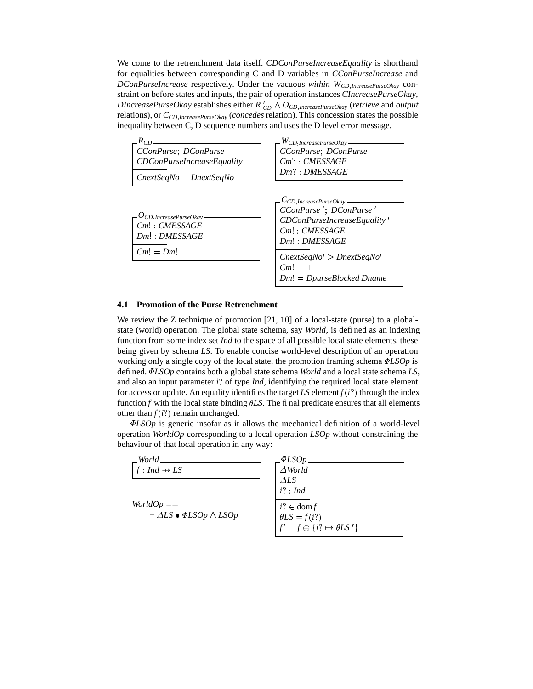We come to the retrenchment data itself. *CDConPurseIncreaseEquality* is shorthand for equalities between corresponding C and D variables in *CConPurseIncrease* and *DConPurseIncrease* respectively. Under the vacuous *within WCD IncreasePurseOkay* constraint on before states and inputs, the pair of operation instances *CIncreasePurseOkay*, *DIncreasePurseOkay* establishes either  $R \, C_D \wedge O_{CD, IncreasePurseOkay}$  (*retrieve* and *output* relations), or *CCD IncreasePurseOkay* (*concedes* relation). This concession states the possible inequality between C, D sequence numbers and uses the D level error message.

|                                                                                | $W_{CD}$ IncreasePurseOkay                                                                                                                                                                                                  |
|--------------------------------------------------------------------------------|-----------------------------------------------------------------------------------------------------------------------------------------------------------------------------------------------------------------------------|
| CConPurse; DConPurse                                                           | CConPurse; DConPurse                                                                                                                                                                                                        |
| <b>CDConPurseIncreaseEquality</b>                                              | $Cm$ ?: $CMESSAGE$                                                                                                                                                                                                          |
| $CnextSeqNo = DnextSeqNo$                                                      | Dm?: DMESSAGE                                                                                                                                                                                                               |
| $U_{CD, IncreasePurseOkay}$<br>$Cm$ : CMESSAGE<br>Dm.: DMESSAGE<br>$Cm! = Dm!$ | $C_{CD, IncreasePurseOkay}$<br>CConPurse'; DConPurse'<br>CDConPurseIncreaseEquality'<br>$Cm$ : CMESSAGE<br>$Dm$ : $DMESSAGE$<br>$\text{C}nextSeqNo' \geq \text{D}nextSeqNo'$<br>$Cm = \perp$<br>$Dm! = DpurseBlocked$ Dname |

#### **4.1 Promotion of the Purse Retrenchment**

We review the Z technique of promotion [21, 10] of a local-state (purse) to a globalstate (world) operation. The global state schema, say *World*, is defined as an indexing function from some index set *Ind* to the space of all possible local state elements, these being given by schema *LS*. To enable concise world-level description of an operation working only a single copy of the local state, the promotion framing schema *LSOp* is defined. *LSOp* contains both a global state schema *World* and a local state schema *LS*, and also an input parameter *i*? of type *Ind*, identifying the required local state element for access or update. An equality identifies the target *LS* element  $f(i)$  through the index function  $f$  with the local state binding  $\theta LS$ . The final predicate ensures that all elements other than  $f(i')$  remain unchanged.

 *LSOp* is generic insofar as it allows the mechanical definition of a world-level operation *WorldOp* corresponding to a local operation *LSOp* without constraining the behaviour of that local operation in any way:

| $\Phi$ <i>LSOp</i>                                                                             |
|------------------------------------------------------------------------------------------------|
| $\triangle World$                                                                              |
| $\varDelta LS$                                                                                 |
| $i$ ? : Ind                                                                                    |
| $i? \in \text{dom} f$                                                                          |
|                                                                                                |
| $\begin{cases}\n\theta LS = f(i') \\ f' = f \oplus \{i' : \rightarrow \theta LS \n\end{cases}$ |
|                                                                                                |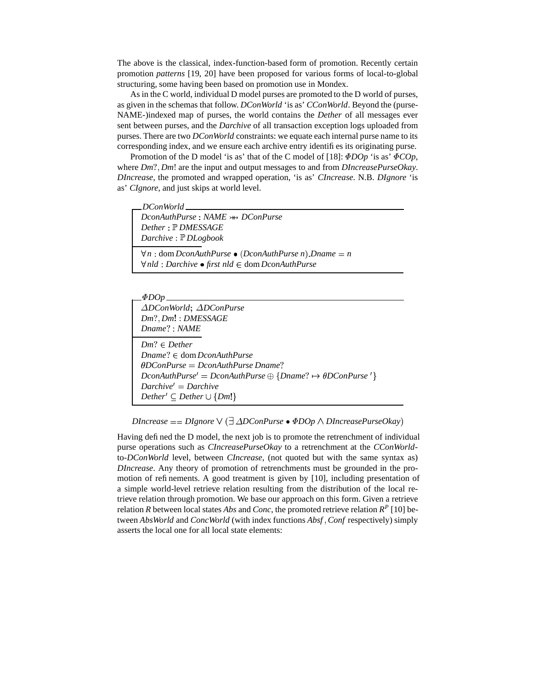The above is the classical, index-function-based form of promotion. Recently certain promotion *patterns* [19, 20] have been proposed for various forms of local-to-global structuring, some having been based on promotion use in Mondex.

As in the C world, individual D model purses are promoted to the D world of purses, as given in the schemas that follow. *DConWorld* 'is as' *CConWorld*. Beyond the (purse-NAME-)indexed map of purses, the world contains the *Dether* of all messages ever sent between purses, and the *Darchive* of all transaction exception logs uploaded from purses. There are two *DConWorld* constraints: we equate each internal purse name to its corresponding index, and we ensure each archive entry identifies its originating purse.

Promotion of the D model 'is as' that of the C model of [18]:  $\Phi DOp$  'is as'  $\Phi COp$ , where  $Dm$ <sup>2</sup>,  $Dm$ ! are the input and output messages to and from *DIncreasePurseOkay*. *DIncrease*, the promoted and wrapped operation, 'is as' *CIncrease*. N.B. *DIgnore* 'is as' *CIgnore*, and just skips at world level.

*DConWorld DconAuthPurse NAME DConPurse Dether DMESSAGE Darchive DLogbook*  $\forall n$ : dom *DconAuthPurse* ● (*DconAuthPurse n*).Dname = n - *nld Darchive first nld* dom*DconAuthPurse*

| $\_ \Phi DOp$ .                                                              |
|------------------------------------------------------------------------------|
| $\triangle DConWorld; \triangle DConPure$                                    |
| Dm? Dm! : DMESSAGE                                                           |
| Dname? : NAME                                                                |
| $Dm? \in Dether$                                                             |
| $Dname? \in \text{dom } DconduthPurse$                                       |
| $\theta DConPurse = DoonAuthorPurse$ Dname?                                  |
| $DconAuthor's = DoonAuthor's \oplus \{Dname? \rightarrow \theta DConPure'\}$ |
| $Darchive' = Darchive$                                                       |
| Dether' $\subseteq$ Dether $\cup$ {Dm!}                                      |

*DIncrease* -- *DIgnore DConPurse DOp DIncreasePurseOkay*

Having defined the D model, the next job is to promote the retrenchment of individual purse operations such as *CIncreasePurseOkay* to a retrenchment at the *CConWorld*to-*DConWorld* level, between *CIncrease*, (not quoted but with the same syntax as) *DIncrease*. Any theory of promotion of retrenchments must be grounded in the promotion of refinements. A good treatment is given by [10], including presentation of a simple world-level retrieve relation resulting from the distribution of the local retrieve relation through promotion. We base our approach on this form. Given a retrieve relation *R* between local states *Abs* and *Conc*, the promoted retrieve relation  $R^P$  [10] between *AbsWorld* and *ConcWorld* (with index functions *Absf Conf* respectively) simply asserts the local one for all local state elements: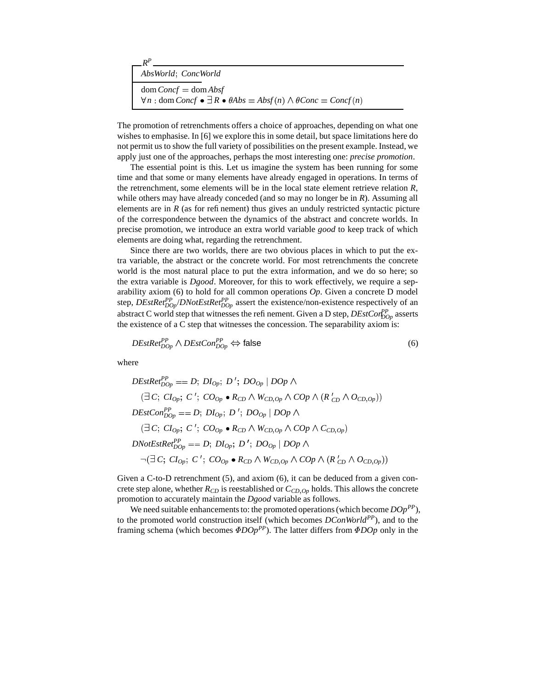| $R^P$                                                                                                                                                                                                  |  |
|--------------------------------------------------------------------------------------------------------------------------------------------------------------------------------------------------------|--|
| AbsWorld: ConcWorld                                                                                                                                                                                    |  |
| $\text{dom } \text{Concf} = \text{dom } \text{Absf}$<br>$\forall n : \text{dom } \text{Concf} \bullet \exists R \bullet \theta \text{Abs} = \text{Absf}(n) \land \theta \text{Conc} = \text{Concf}(n)$ |  |

The promotion of retrenchments offers a choice of approaches, depending on what one wishes to emphasise. In [6] we explore this in some detail, but space limitations here do not permit us to show the full variety of possibilities on the present example. Instead, we apply just one of the approaches, perhaps the most interesting one: *precise promotion*.

The essential point is this. Let us imagine the system has been running for some time and that some or many elements have already engaged in operations. In terms of the retrenchment, some elements will be in the local state element retrieve relation *R*, while others may have already conceded (and so may no longer be in *R*). Assuming all elements are in  $R$  (as for refinement) thus gives an unduly restricted syntactic picture of the correspondence between the dynamics of the abstract and concrete worlds. In precise promotion, we introduce an extra world variable *good* to keep track of which elements are doing what, regarding the retrenchment.

Since there are two worlds, there are two obvious places in which to put the extra variable, the abstract or the concrete world. For most retrenchments the concrete world is the most natural place to put the extra information, and we do so here; so the extra variable is *Dgood*. Moreover, for this to work effectively, we require a separability axiom (6) to hold for all common operations *Op*. Given a concrete D model step, *DEstRet<sup>PP</sup>*<sub>*DOp</sub>*/*DNotEstRet<sup>PP</sup><sub>DOp</sub>* assert the existence/non-existence respectively of an</sub> abstract C world step that witnesses the refi nement. Given a D step,  $\it{DEstConf}_{DOp}^{PP}$  asserts the existence of a C step that witnesses the concession. The separability axiom is:

$$
DEstRef_{DOp}^{PP} \land DEstConf_{DOp}^{PP} \Leftrightarrow \text{false} \tag{6}
$$

where

$$
DEstRef_{DOp}^{PP} = D; DIO_{Op}; D'; DO_{Op} | DOp \wedge
$$
  
\n
$$
(\exists C; Cl_{Op}; C'; CO_{Op} \bullet R_{CD} \wedge W_{CD,Op} \wedge COp \wedge (R'_{CD} \wedge O_{CD,Op}))
$$
  
\n
$$
DEstCon_{DOp}^{PP} = D; DIO_{Op}; D'; DO_{Op} | DOp \wedge
$$
  
\n
$$
(\exists C; Cl_{Op}; C'; CO_{Op} \bullet R_{CD} \wedge W_{CD,Op} \wedge COp \wedge C_{CD,Op})
$$
  
\n
$$
DNotEstRef_{DOp}^{PP} = D; DIO_{Op}; D'; DO_{Op} | DOp \wedge
$$
  
\n
$$
\neg (\exists C; Cl_{Op}; C'; CO_{Op} \bullet R_{CD} \wedge W_{CD,Op} \wedge COp \wedge (R'_{CD} \wedge O_{CD,Op}))
$$

Given a C-to-D retrenchment (5), and axiom (6), it can be deduced from a given concrete step alone, whether  $R_{CD}$  is reestablished or  $C_{CD,Op}$  holds. This allows the concrete promotion to accurately maintain the *Dgood* variable as follows.

We need suitable enhancements to: the promoted operations (which become  $DOP^{PP}$ ). to the promoted world construction itself (which becomes *DConWorldPP*), and to the framing schema (which becomes  $\Phi DOp^{PP}$ ). The latter differs from  $\Phi DOp$  only in the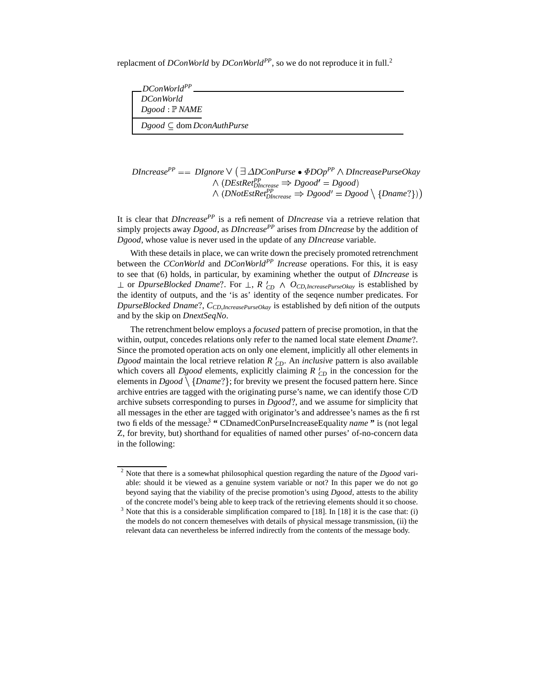replacment of *DConWorld* by *DConWorld<sup>PP</sup>*, so we do not reproduce it in full.<sup>2</sup>

| $\_\_DC$ onWorld <sup>PP</sup>                     |
|----------------------------------------------------|
| DConWorld                                          |
| D good : PNAME                                     |
| $D$ <i>good</i> $\subset$ dom <i>DconAuthPurse</i> |
|                                                    |

 $D$ Increase<sup>PP</sup> ==  $D$ Ignore  $\vee$  (  $\exists$   $\varDelta$ DConPurse  $\bullet$   $\varPhi$ DOp<sup>PP</sup>  $\wedge$  DIncreasePurseOkay  $\land$  (*DEstRet*<sup>*PP*</sup></sup>*DRood'* = *Dgood*)  $\land$  (*DNotEstRet*<sup>PP</sup><sub>DIncrease</sub>  $\Rightarrow$  *Dgood'* = *Dgood*  $\setminus$  {*Dname*?}))

It is clear that *DIncreasePP* is a refinement of *DIncrease* via a retrieve relation that simply projects away *Dgood*, as *DIncreasePP* arises from *DIncrease* by the addition of *Dgood*, whose value is never used in the update of any *DIncrease* variable.

With these details in place, we can write down the precisely promoted retrenchment between the *CConWorld* and *DConWorldPP Increase* operations. For this, it is easy to see that (6) holds, in particular, by examining whether the output of *DIncrease* is  $\perp$  or *DpurseBlocked Dname*?. For  $\perp$ , *R*  $'_{CD}$   $\wedge$  *O<sub>CD</sub>*, *IncreasePurseOkay* is established by the identity of outputs, and the 'is as' identity of the seqence number predicates. For *DpurseBlocked Dname*, *CCD IncreasePurseOkay* is established by definition of the outputs and by the skip on *DnextSeqNo*.

The retrenchment below employs a *focused* pattern of precise promotion, in that the within, output, concedes relations only refer to the named local state element *Dname*?. Since the promoted operation acts on only one element, implicitly all other elements in *Dgood* maintain the local retrieve relation  $R \, '_{CD}$ . An *inclusive* pattern is also available which covers all *Dgood* elements, explicitly claiming  $R C_{D}$  in the concession for the elements in  $Dgood \setminus \{Dname? \}$ ; for brevity we present the focused pattern here. Since archive entries are tagged with the originating purse's name, we can identify those C/D archive subsets corresponding to purses in *Dgood*?, and we assume for simplicity that all messages in the ether are tagged with originator's and addressee's names as the first two fields of the message.<sup>3</sup> **"** CDnamedConPurseIncreaseEquality *name* **"** is (not legal Z, for brevity, but) shorthand for equalities of named other purses' of-no-concern data in the following:

<sup>2</sup> Note that there is a somewhat philosophical question regarding the nature of the *Dgood* variable: should it be viewed as a genuine system variable or not? In this paper we do not go beyond saying that the viability of the precise promotion's using *Dgood*, attests to the ability of the concrete model's being able to keep track of the retrieving elements should it so choose.

 $3$  Note that this is a considerable simplification compared to [18]. In [18] it is the case that: (i) the models do not concern themeselves with details of physical message transmission, (ii) the relevant data can nevertheless be inferred indirectly from the contents of the message body.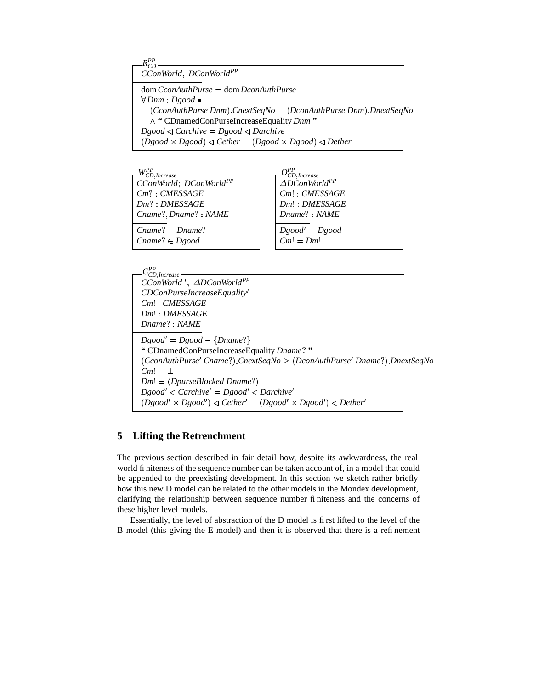*R PP CD*

*CConWorld DConWorldPP* dom*CconAuthPurse* dom*DconAuthPurse* - *Dnm Dgood CconAuthPurse Dnm CnextSeqNo DconAuthPurse Dnm DnextSeqNo*

**"** CDnamedConPurseIncreaseEquality *Dnm* **"**

 $D$ *good*  $\triangleleft$  *Carchive* =  $D$ *good*  $\triangleleft$  *Darchive* 

 $(Dgood \times Dgood) \triangleleft Cether = (Dgood \times Dgood) \triangleleft Dether$ 

| $\_W^{PP}_{CD\_Increase} -$        |                               |
|------------------------------------|-------------------------------|
| CConWorld; DConWorld <sup>PP</sup> |                               |
| $Cm$ ?: $CMESSAGE$                 | $Cm$ : CMESSAGE               |
| Dm?: DMESSAGE                      | $Dm$ : $DMESSAGE$             |
| Cname?, Dname?: NAME               | Dname?: NAME                  |
| $Cname? = Dname?$                  |                               |
| Cname? $\in D$ <i>good</i>         | $Dgood' = Dgood$<br>Cm! = Dm! |

*C PP CD Increase CConWorld DConWorldPP CDConPurseIncreaseEquality Cm CMESSAGE Dm DMESSAGE Dname NAME*  $Dgood' = Dgood - \{Dname?\}$ **"** CDnamedConPurseIncreaseEquality *Dname* **"** *CconAuthPurse Cname CnextSeqNo DconAuthPurse Dname DnextSeqNo*  $Cm! = \perp$  $Dm! = (DpurseBlocked \nDname?)$  $D$ *good'*  $\triangleleft$  *Carchive'* =  $D$ *good'*  $\triangleleft$  *Darchive'*  $(Dgood' \times Dgood') \triangleleft Cether' = (Dgood' \times Dgood') \triangleleft Dether'$ 

# **5 Lifting the Retrenchment**

The previous section described in fair detail how, despite its awkwardness, the real world finiteness of the sequence number can be taken account of, in a model that could be appended to the preexisting development. In this section we sketch rather briefly how this new D model can be related to the other models in the Mondex development, clarifying the relationship between sequence number finiteness and the concerns of these higher level models.

Essentially, the level of abstraction of the D model is first lifted to the level of the B model (this giving the E model) and then it is observed that there is a refinement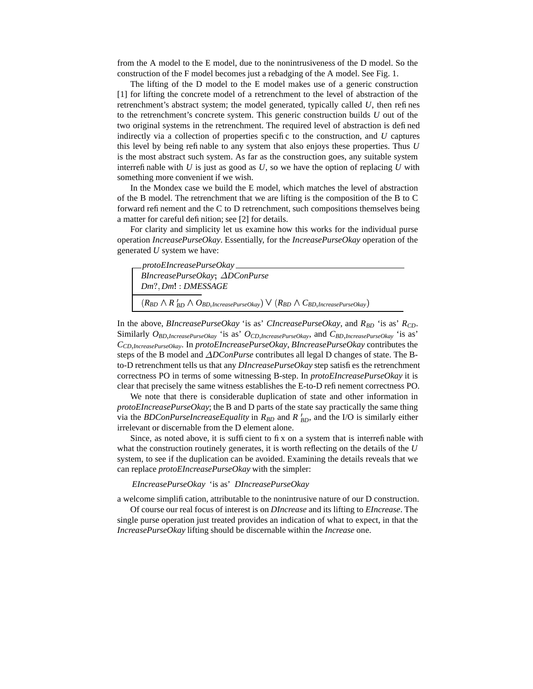from the A model to the E model, due to the nonintrusiveness of the D model. So the construction of the F model becomes just a rebadging of the A model. See Fig. 1.

The lifting of the D model to the E model makes use of a generic construction [1] for lifting the concrete model of a retrenchment to the level of abstraction of the retrenchment's abstract system; the model generated, typically called *U*, then refines to the retrenchment's concrete system. This generic construction builds *U* out of the two original systems in the retrenchment. The required level of abstraction is defined indirectly via a collection of properties specific to the construction, and *U* captures this level by being refinable to any system that also enjoys these properties. Thus *U* is the most abstract such system. As far as the construction goes, any suitable system interrefinable with  $U$  is just as good as  $U$ , so we have the option of replacing  $U$  with something more convenient if we wish.

In the Mondex case we build the E model, which matches the level of abstraction of the B model. The retrenchment that we are lifting is the composition of the B to C forward refinement and the C to D retrenchment, such compositions themselves being a matter for careful definition; see [2] for details.

For clarity and simplicity let us examine how this works for the individual purse operation *IncreasePurseOkay*. Essentially, for the *IncreasePurseOkay* operation of the generated *U* system we have:

| $\_protoElncreasePurseOkay$                                                                              |
|----------------------------------------------------------------------------------------------------------|
| $BIncreasePurseOkay; \triangle DConPurse$<br>Dm? Dm!: DMESSAGE                                           |
| $(R_{BD} \wedge R_{BD} \wedge O_{BD, IncreasePurseOkay}) \vee (R_{BD} \wedge C_{BD, IncreasePurseOkay})$ |

In the above, *BIncreasePurseOkay* 'is as' *CIncreasePurseOkay*, and *RBD* 'is as' *RCD*. Similarly *OBD IncreasePurseOkay* 'is as' *OCD IncreasePurseOkay*, and *CBD IncreasePurseOkay* 'is as' *CCD IncreasePurseOkay*. In *protoEIncreasePurseOkay*, *BIncreasePurseOkay* contributes the steps of the B model and  $\triangle DConPurse$  contributes all legal D changes of state. The Bto-D retrenchment tells us that any *DIncreasePurseOkay* step satisfies the retrenchment correctness PO in terms of some witnessing B-step. In *protoEIncreasePurseOkay* it is clear that precisely the same witness establishes the E-to-D refinement correctness PO.

We note that there is considerable duplication of state and other information in *protoEIncreasePurseOkay*; the B and D parts of the state say practically the same thing via the *BDConPurseIncreaseEquality* in  $R_{BD}$  and  $R'_{BD}$ , and the I/O is similarly either irrelevant or discernable from the D element alone.

Since, as noted above, it is sufficient to fix on a system that is interrefinable with what the construction routinely generates, it is worth reflecting on the details of the *U* system, to see if the duplication can be avoided. Examining the details reveals that we can replace *protoEIncreasePurseOkay* with the simpler:

*EIncreasePurseOkay* 'is as' *DIncreasePurseOkay*

a welcome simplification, attributable to the nonintrusive nature of our D construction.

Of course our real focus of interest is on *DIncrease* and its lifting to *EIncrease*. The single purse operation just treated provides an indication of what to expect, in that the *IncreasePurseOkay* lifting should be discernable within the *Increase* one.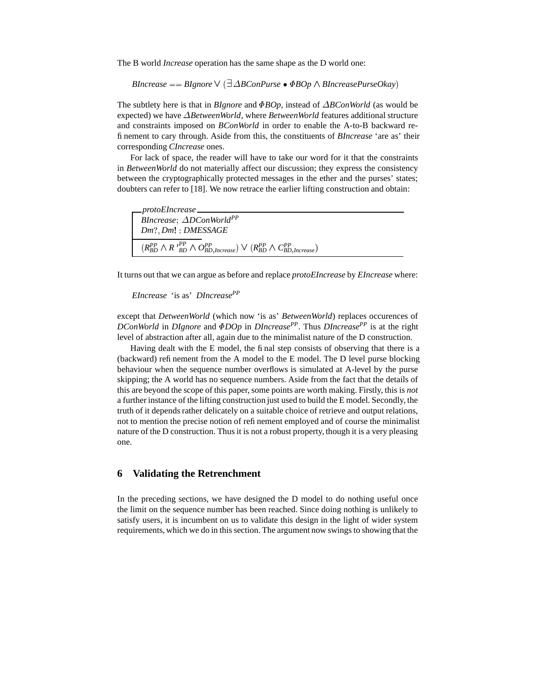The B world *Increase* operation has the same shape as the D world one:

*BIncrease* -- *BIgnore BConPurse BOp BIncreasePurseOkay*

The subtlety here is that in *BIgnore* and  $\Phi BOp$ , instead of  $\Delta BConWorld$  (as would be expected) we have *BetweenWorld*, where *BetweenWorld* features additional structure and constraints imposed on *BConWorld* in order to enable the A-to-B backward refinement to cary through. Aside from this, the constituents of *BIncrease* 'are as' their corresponding *CIncrease* ones.

For lack of space, the reader will have to take our word for it that the constraints in *BetweenWorld* do not materially affect our discussion; they express the consistency between the cryptographically protected messages in the ether and the purses' states; doubters can refer to [18]. We now retrace the earlier lifting construction and obtain:

| __protoEIncrease ______                                                                                           |  |
|-------------------------------------------------------------------------------------------------------------------|--|
| BIncrease; $\triangle DConWorld^{PP}$                                                                             |  |
| Dm? Dm!: DMESSAGE                                                                                                 |  |
|                                                                                                                   |  |
| $(R_{BD}^{PP} \wedge R \frac{P}{B} \wedge O_{BD, Increase}^{PP}) \vee (R_{BD}^{PP} \wedge C_{BD, Increase}^{PP})$ |  |

It turns out that we can argue as before and replace *protoEIncrease* by *EIncrease* where:

*EIncrease* 'is as' *DIncreasePP*

except that *DetweenWorld* (which now 'is as' *BetweenWorld*) replaces occurences of *DConWorld* in *DIgnore* and  $\Phi$ *DOp* in *DIncrease*<sup>*PP*</sup>. Thus *DIncrease*<sup>*PP*</sup> is at the right level of abstraction after all, again due to the minimalist nature of the D construction.

Having dealt with the E model, the final step consists of observing that there is a (backward) refinement from the A model to the E model. The D level purse blocking behaviour when the sequence number overflows is simulated at A-level by the purse skipping; the A world has no sequence numbers. Aside from the fact that the details of this are beyond the scope of this paper, some points are worth making. Firstly, this is *not* a further instance of the lifting construction just used to build the E model. Secondly, the truth of it depends rather delicately on a suitable choice of retrieve and output relations, not to mention the precise notion of refinement employed and of course the minimalist nature of the D construction. Thus it is not a robust property, though it is a very pleasing one.

# **6 Validating the Retrenchment**

In the preceding sections, we have designed the D model to do nothing useful once the limit on the sequence number has been reached. Since doing nothing is unlikely to satisfy users, it is incumbent on us to validate this design in the light of wider system requirements, which we do in this section. The argument now swings to showing that the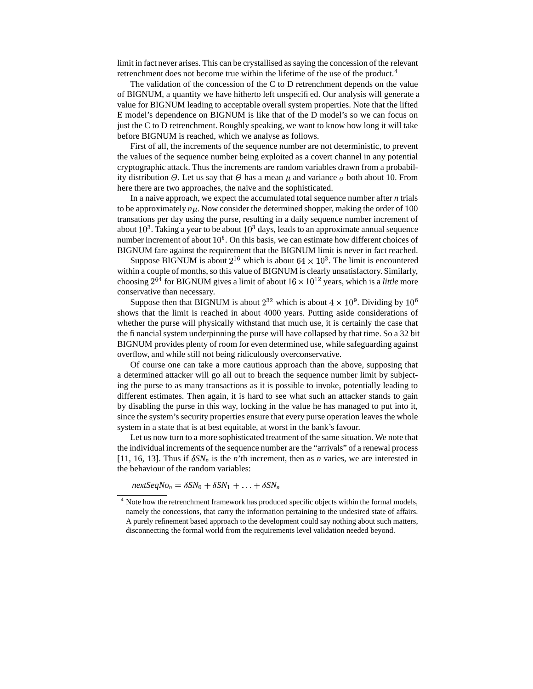limit in fact never arises. This can be crystallised as saying the concession of the relevant retrenchment does not become true within the lifetime of the use of the product.<sup>4</sup>

The validation of the concession of the C to D retrenchment depends on the value of BIGNUM, a quantity we have hitherto left unspecified. Our analysis will generate a value for BIGNUM leading to acceptable overall system properties. Note that the lifted E model's dependence on BIGNUM is like that of the D model's so we can focus on just the C to D retrenchment. Roughly speaking, we want to know how long it will take before BIGNUM is reached, which we analyse as follows.

First of all, the increments of the sequence number are not deterministic, to prevent the values of the sequence number being exploited as a covert channel in any potential cryptographic attack. Thus the increments are random variables drawn from a probability distribution  $\Theta$ . Let us say that  $\Theta$  has a mean  $\mu$  and variance  $\sigma$  both about 10. From here there are two approaches, the naive and the sophisticated.

In a naive approach, we expect the accumulated total sequence number after *n* trials to be approximately  $n\mu$ . Now consider the determined shopper, making the order of 100 transations per day using the purse, resulting in a daily sequence number increment of about  $10^3.$  Taking a year to be about  $10^3$  days, leads to an approximate annual sequence number increment of about  $10^6$ . On this basis, we can estimate how different choices of BIGNUM fare against the requirement that the BIGNUM limit is never in fact reached.

Suppose BIGNUM is about  $2^{16}$  which is about  $64 \times 10^3$ . The lin <sup>3</sup>. The limit is encountered within a couple of months, so this value of BIGNUM is clearly unsatisfactory. Similarly, choosing  $2^{64}$  for BIGNUM gives a limit of about  $16 \times 10^{12}$  years, which is a *little* more conservative than necessary.

Suppose then that BIGNUM is about  $2^{32}$  which is about  $4 \times 10^9$ . Dividing by  $10^6$ shows that the limit is reached in about 4000 years. Putting aside considerations of whether the purse will physically withstand that much use, it is certainly the case that the financial system underpinning the purse will have collapsed by that time. So a 32 bit BIGNUM provides plenty of room for even determined use, while safeguarding against overflow, and while still not being ridiculously overconservative.

Of course one can take a more cautious approach than the above, supposing that a determined attacker will go all out to breach the sequence number limit by subjecting the purse to as many transactions as it is possible to invoke, potentially leading to different estimates. Then again, it is hard to see what such an attacker stands to gain by disabling the purse in this way, locking in the value he has managed to put into it, since the system's security properties ensure that every purse operation leaves the whole system in a state that is at best equitable, at worst in the bank's favour.

Let us now turn to a more sophisticated treatment of the same situation. We note that the individual increments of the sequence number are the "arrivals" of a renewal process [11, 16, 13]. Thus if  $\delta SN_n$  is the *n*'th increment, then as *n* varies, we are interested in the behaviour of the random variables:

 $nextSeqNo_n = \delta SN_0 + \delta SN_1 + \ldots + \delta SN_n$ 

<sup>&</sup>lt;sup>4</sup> Note how the retrenchment framework has produced specific objects within the formal models, namely the concessions, that carry the information pertaining to the undesired state of affairs. A purely refinement based approach to the development could say nothing about such matters, disconnecting the formal world from the requirements level validation needed beyond.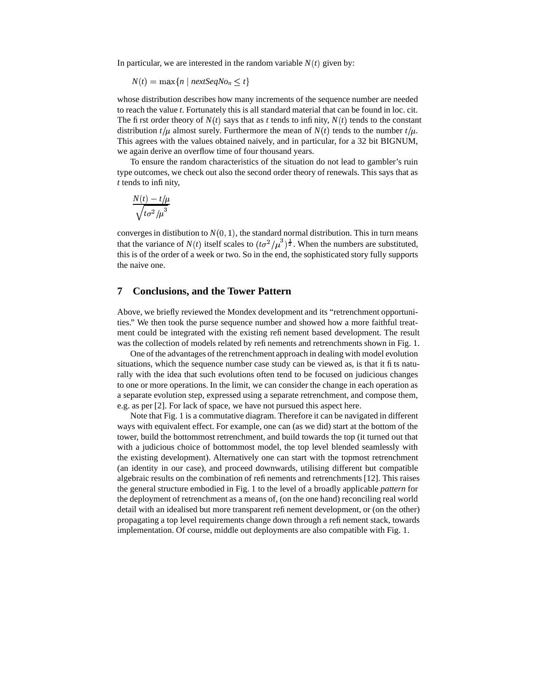In particular, we are interested in the random variable  $N(t)$  given by:

$$
N(t) = \max\{n \mid nextSeqNo_n \leq t\}
$$

whose distribution describes how many increments of the sequence number are needed to reach the value *t*. Fortunately this is all standard material that can be found in loc. cit. The first order theory of  $N(t)$  says that as t tends to infinity,  $N(t)$  tends to the constant distribution  $t/\mu$  almost surely. Furthermore the mean of  $N(t)$  tends to the number  $t/\mu$ . This agrees with the values obtained naively, and in particular, for a 32 bit BIGNUM, we again derive an overflow time of four thousand years.

To ensure the random characteristics of the situation do not lead to gambler's ruin type outcomes, we check out also the second order theory of renewals. This says that as *t* tends to infinity,

$$
\frac{N(t)-t/\mu}{\sqrt{t\sigma^2/\mu^3}}
$$

converges in distibution to  $N(0, 1)$ , the standard normal distribution. This in turn means that the variance of  $N(t)$  itself scales to  $(t\sigma^2/\mu^3)^{\frac{1}{2}}$ . Wh . . .  $\sim$   $\sim$   $\sim$   $\sim$ - - - $\frac{1}{2}$ . When the numbers are substituted, this is of the order of a week or two. So in the end, the sophisticated story fully supports the naive one.

### **7 Conclusions, and the Tower Pattern**

Above, we briefly reviewed the Mondex development and its "retrenchment opportunities." We then took the purse sequence number and showed how a more faithful treatment could be integrated with the existing refinement based development. The result was the collection of models related by refinements and retrenchments shown in Fig. 1.

One of the advantages of the retrenchment approach in dealing with model evolution situations, which the sequence number case study can be viewed as, is that it fits naturally with the idea that such evolutions often tend to be focused on judicious changes to one or more operations. In the limit, we can consider the change in each operation as a separate evolution step, expressed using a separate retrenchment, and compose them, e.g. as per [2]. For lack of space, we have not pursued this aspect here.

Note that Fig. 1 is a commutative diagram. Therefore it can be navigated in different ways with equivalent effect. For example, one can (as we did) start at the bottom of the tower, build the bottommost retrenchment, and build towards the top (it turned out that with a judicious choice of bottommost model, the top level blended seamlessly with the existing development). Alternatively one can start with the topmost retrenchment (an identity in our case), and proceed downwards, utilising different but compatible algebraic results on the combination of refinements and retrenchments [12]. This raises the general structure embodied in Fig. 1 to the level of a broadly applicable *pattern* for the deployment of retrenchment as a means of, (on the one hand) reconciling real world detail with an idealised but more transparent refinement development, or (on the other) propagating a top level requirements change down through a refinement stack, towards implementation. Of course, middle out deployments are also compatible with Fig. 1.